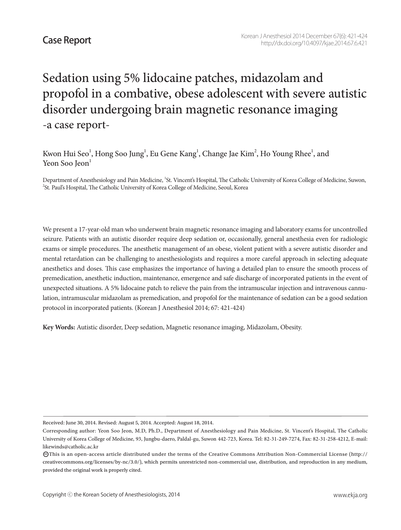# Sedation using 5% lidocaine patches, midazolam and propofol in a combative, obese adolescent with severe autistic disorder undergoing brain magnetic resonance imaging -a case report-

# Kwon Hui Seo<sup>1</sup>, Hong Soo Jung<sup>1</sup>, Eu Gene Kang<sup>1</sup>, Change Jae Kim<sup>2</sup>, Ho Young Rhee<sup>1</sup>, and Yeon Soo Jeon<sup>1</sup>

Department of Anesthesiology and Pain Medicine, <sup>1</sup>St. Vincent's Hospital, The Catholic University of Korea College of Medicine, Suwon,<br><sup>2</sup>St. Raul's Hospital, The Catholic University of Korea College of Medicine, Secul, K <sup>2</sup>St. Paul's Hospital, The Catholic University of Korea College of Medicine, Seoul, Korea

We present a 17-year-old man who underwent brain magnetic resonance imaging and laboratory exams for uncontrolled seizure. Patients with an autistic disorder require deep sedation or, occasionally, general anesthesia even for radiologic exams or simple procedures. The anesthetic management of an obese, violent patient with a severe autistic disorder and mental retardation can be challenging to anesthesiologists and requires a more careful approach in selecting adequate anesthetics and doses. This case emphasizes the importance of having a detailed plan to ensure the smooth process of premedication, anesthetic induction, maintenance, emergence and safe discharge of incorporated patients in the event of unexpected situations. A 5% lidocaine patch to relieve the pain from the intramuscular injection and intravenous cannulation, intramuscular midazolam as premedication, and propofol for the maintenance of sedation can be a good sedation protocol in incorporated patients. (Korean J Anesthesiol 2014; 67: 421-424)

**Key Words:** Autistic disorder, Deep sedation, Magnetic resonance imaging, Midazolam, Obesity.

Received: June 30, 2014. Revised: August 5, 2014. Accepted: August 18, 2014.

Corresponding author: Yeon Soo Jeon, M.D, Ph.D., Department of Anesthesiology and Pain Medicine, St. Vincent's Hospital, The Catholic University of Korea College of Medicine, 93, Jungbu-daero, Paldal-gu, Suwon 442-723, Korea. Tel: 82-31-249-7274, Fax: 82-31-258-4212, E-mail: likewinds@catholic.ac.kr

<sup>©</sup>This is an open-access article distributed under the terms of the Creative Commons Attribution Non-Commercial License (http:// creativecommons.org/licenses/by-nc/3.0/), which permits unrestricted non-commercial use, distribution, and reproduction in any medium, provided the original work is properly cited.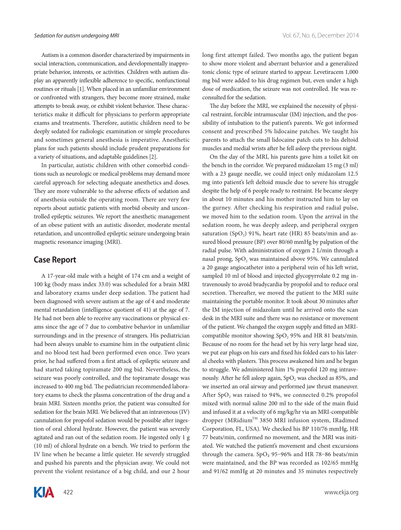Autism is a common disorder characterized by impairments in social interaction, communication, and developmentally inappropriate behavior, interests, or activities. Children with autism display an apparently inflexible adherence to specific, nonfunctional routines or rituals [1]. When placed in an unfamiliar environment or confronted with strangers, they become more strained, make attempts to break away, or exhibit violent behavior. These characteristics make it difficult for physicians to perform appropriate exams and treatments. Therefore, autistic children need to be deeply sedated for radiologic examination or simple procedures and sometimes general anesthesia is imperative. Anesthetic plans for such patients should include prudent preparations for a variety of situations, and adaptable guidelines [2].

In particular, autistic children with other comorbid conditions such as neurologic or medical problems may demand more careful approach for selecting adequate anesthetics and doses. They are more vulnerable to the adverse effects of sedation and of anesthesia outside the operating room. There are very few reports about autistic patients with morbid obesity and uncontrolled epileptic seizures. We report the anesthetic management of an obese patient with an autistic disorder, moderate mental retardation, and uncontrolled epileptic seizure undergoing brain magnetic resonance imaging (MRI).

#### **Case Report**

A 17-year-old male with a height of 174 cm and a weight of 100 kg (body mass index 33.0) was scheduled for a brain MRI and laboratory exams under deep sedation. The patient had been diagnosed with severe autism at the age of 4 and moderate mental retardation (intelligence quotient of 41) at the age of 7. He had not been able to receive any vaccinations or physical exams since the age of 7 due to combative behavior in unfamiliar surroundings and in the presence of strangers. His pediatrician had been always unable to examine him in the outpatient clinic and no blood test had been performed even once. Two years prior, he had suffered from a first attack of epileptic seizure and had started taking topiramate 200 mg bid. Nevertheless, the seizure was poorly controlled, and the topiramate dosage was increased to 400 mg bid. The pediatrician recommended laboratory exams to check the plasma concentration of the drug and a brain MRI. Sixteen months prior, the patient was consulted for sedation for the brain MRI. We believed that an intravenous (IV) cannulation for propofol sedation would be possible after ingestion of oral chloral hydrate. However, the patient was severely agitated and ran out of the sedation room. He ingested only 1 g (10 ml) of chloral hydrate on a bench. We tried to perform the IV line when he became a little quieter. He severely struggled and pushed his parents and the physician away. We could not prevent the violent resistance of a big child, and our 2 hour



long first attempt failed. Two months ago, the patient began to show more violent and aberrant behavior and a generalized tonic clonic type of seizure started to appear. Levetiracem 1,000 mg bid were added to his drug regimen but, even under a high dose of medication, the seizure was not controlled. He was reconsulted for the sedation.

The day before the MRI, we explained the necessity of physical restraint, forcible intramuscular (IM) injection, and the possibility of intubation to the patient's parents. We got informed consent and prescribed 5% lidocaine patches. We taught his parents to attach the small lidocaine patch cuts to his deltoid muscles and medial wrists after he fell asleep the previous night.

On the day of the MRI, his parents gave him a toilet kit on the bench in the corridor. We prepared midazolam 15 mg (3 ml) with a 23 gauge needle, we could inject only midazolam 12.5 mg into patient's left deltoid muscle due to severe his struggle despite the help of 6 people ready to restraint. He became sleepy in about 10 minutes and his mother instructed him to lay on the gurney. After checking his respiration and radial pulse, we moved him to the sedation room. Upon the arrival in the sedation room, he was deeply asleep, and peripheral oxygen saturation (SpO<sub>2</sub>) 91%, heart rate (HR) 85 beats/min and assured blood pressure (BP) over 80/60 mmHg by palpation of the radial pulse. With administration of oxygen 2 L/min through a nasal prong, SpO<sub>2</sub> was maintained above 95%. We cannulated a 20 gauge angiocatheter into a peripheral vein of his left wrist, sampled 10 ml of blood and injected glycopyrrolate 0.2 mg intravenously to avoid bradycardia by propofol and to reduce oral secretion. Thereafter, we moved the patient to the MRI suite maintaining the portable monitor. It took about 30 minutes after the IM injection of midazolam until he arrived onto the scan desk in the MRI suite and there was no resistance or movement of the patient. We changed the oxygen supply and fitted an MRIcompatible monitor showing SpO, 95% and HR 81 beats/min. Because of no room for the head set by his very large head size, we put ear plugs on his ears and fixed his folded ears to his lateral cheeks with plasters. This process awakened him and he began to struggle. We administered him 1% propofol 120 mg intravenously. After he fell asleep again,  $SpO<sub>2</sub>$  was checked as 85%, and we inserted an oral airway and performed jaw thrust maneuver. After  $SpO<sub>2</sub>$  was raised to 94%, we connected 0.2% propofol mixed with normal saline 200 ml to the side of the main fluid and infused it at a velocity of 6 mg/kg/hr via an MRI-compatible dropper (MRidium<sup>TM</sup> 3850 MRI infusion system, IRadimed Corporation, FL, USA). We checked his BP 110/76 mmHg, HR 77 beats/min, confirmed no movement, and the MRI was initiated. We watched the patient's movement and chest excursions through the camera. SpO<sub>2</sub> 95-96% and HR 78-86 beats/min were maintained, and the BP was recorded as 102/65 mmHg and 91/62 mmHg at 20 minutes and 35 minutes respectively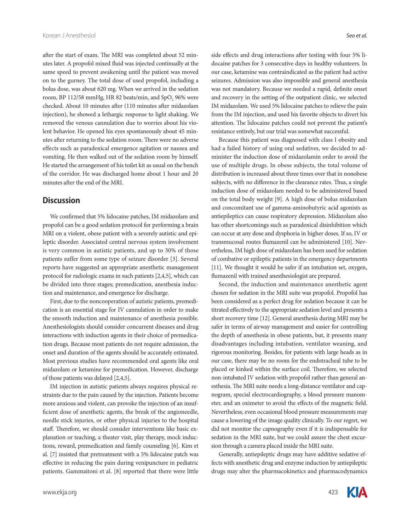after the start of exam. The MRI was completed about 52 minutes later. A propofol mixed fluid was injected continually at the same speed to prevent awakening until the patient was moved on to the gurney. The total dose of used propofol, including a bolus dose, was about 620 mg. When we arrived in the sedation room, BP 112/58 mmHg, HR 82 beats/min, and SpO<sub>2</sub> 96% were checked. About 10 minutes after (110 minutes after midazolam injection), he showed a lethargic response to light shaking. We removed the venous cannulation due to worries about his violent behavior. He opened his eyes spontaneously about 45 minutes after returning to the sedation room. There were no adverse effects such as paradoxical emergence agitation or nausea and vomiting. He then walked out of the sedation room by himself. He started the arrangement of his toilet kit as usual on the bench of the corridor. He was discharged home about 1 hour and 20 minutes after the end of the MRI.

### **Discussion**

We confirmed that 5% lidocaine patches, IM midazolam and propofol can be a good sedation protocol for performing a brain MRI on a violent, obese patient with a severely autistic and epileptic disorder. Associated central nervous system involvement is very common in autistic patients, and up to 30% of those patients suffer from some type of seizure disorder [3]. Several reports have suggested an appropriate anesthetic management protocol for radiologic exams in such patients [2,4,5], which can be divided into three stages; premedication, anesthesia induction and maintenance, and emergence for discharge.

First, due to the noncooperation of autistic patients, premedication is an essential stage for IV cannulation in order to make the smooth induction and maintenance of anesthesia possible. Anesthesiologists should consider concurrent diseases and drug interactions with induction agents in their choice of premedication drugs. Because most patients do not require admission, the onset and duration of the agents should be accurately estimated. Most previous studies have recommended oral agents like oral midazolam or ketamine for premedication. However, discharge of those patients was delayed [2,4,5].

IM injection in autistic patients always requires physical restraints due to the pain caused by the injection. Patients become more anxious and violent, can provoke the injection of an insufficient dose of anesthetic agents, the break of the angioneedle, needle stick injuries, or other physical injuries to the hospital staff. Therefore, we should consider interventions like basic explanation or teaching, a theater visit, play therapy, mock inductions, reward, premedication and family counseling [6]. Kim et al. [7] insisted that pretreatment with a 5% lidocaine patch was effective in reducing the pain during venipuncture in pediatric patients. Gammaitoni et al. [8] reported that there were little

side effects and drug interactions after testing with four 5% lidocaine patches for 3 consecutive days in healthy volunteers. In our case, ketamine was contraindicated as the patient had active seizures. Admission was also impossible and general anesthesia was not mandatory. Because we needed a rapid, definite onset and recovery in the setting of the outpatient clinic, we selected IM midazolam. We used 5% lidocaine patches to relieve the pain from the IM injection, and used his favorite objects to divert his attention. The lidocaine patches could not prevent the patient's resistance entirely, but our trial was somewhat successful.

Because this patient was diagnosed with class I obesity and had a failed history of using oral sedatives, we decided to administer the induction dose of midazolamin order to avoid the use of multiple drugs. In obese subjects, the total volume of distribution is increased about three times over that in nonobese subjects, with no difference in the clearance rates. Thus, a single induction dose of midazolam needed to be administered based on the total body weight [9]. A high dose of bolus midazolam and concomitant use of gamma-aminobutyric acid agonists as antiepileptics can cause respiratory depression. Midazolam also has other shortcomings such as paradoxical disinhibition which can occur at any dose and dysphoria in higher doses. If so, IV or transmucosal routes flumazenil can be administered [10]. Nevertheless, IM high dose of midazolam has been used for sedation of combative or epileptic patients in the emergency departments [11]. We thought it would be safer if an intubation set, oxygen, flumazenil with trained anesthesiologist are prepared.

Second, the induction and maintenance anesthetic agent chosen for sedation in the MRI suite was propofol. Propofol has been considered as a perfect drug for sedation because it can be titrated effectively to the appropriate sedation level and presents a short recovery time [12]. General anesthesia during MRI may be safer in terms of airway management and easier for controlling the depth of anesthesia in obese patients, but, it presents many disadvantages including intubation, ventilator weaning, and rigorous monitoring. Besides, for patients with large heads as in our case, there may be no room for the endotracheal tube to be placed or kinked within the surface coil. Therefore, we selected non-intubated IV sedation with propofol rather than general anesthesia. The MRI suite needs a long-distance ventilator and capnogram, special electrocardiography, a blood pressure manometer, and an oximeter to avoid the effects of the magnetic field. Nevertheless, even occasional blood pressure measurements may cause a lowering of the image quality clinically. To our regret, we did not monitor the capnography even if it is indispensable for sedation in the MRI suite, but we could assure the chest excursion through a camera placed inside the MRI suite.

Generally, antiepileptic drugs may have additive sedative effects with anesthetic drug and enzyme induction by antiepileptic drugs may alter the pharmacokinetics and pharmacodynamics